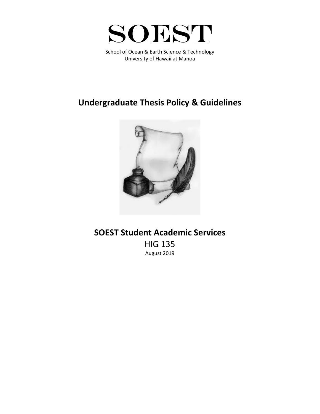

School of Ocean & Earth Science & Technology University of Hawaii at Manoa

## **Undergraduate Thesis Policy & Guidelines**



## **SOEST Student Academic Services** HIG 135 August 2019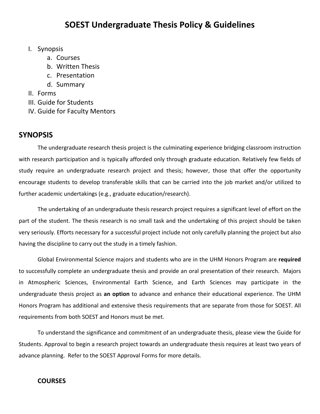## I. Synopsis

- a. Courses
- b. Written Thesis
- c. Presentation
- d. Summary
- II. Forms
- III. Guide for Students
- IV. Guide for Faculty Mentors

## **SYNOPSIS**

The undergraduate research thesis project is the culminating experience bridging classroom instruction with research participation and is typically afforded only through graduate education. Relatively few fields of study require an undergraduate research project and thesis; however, those that offer the opportunity encourage students to develop transferable skills that can be carried into the job market and/or utilized to further academic undertakings (e.g., graduate education/research).

The undertaking of an undergraduate thesis research project requires a significant level of effort on the part of the student. The thesis research is no small task and the undertaking of this project should be taken very seriously. Efforts necessary for a successful project include not only carefully planning the project but also having the discipline to carry out the study in a timely fashion.

Global Environmental Science majors and students who are in the UHM Honors Program are **required** to successfully complete an undergraduate thesis and provide an oral presentation of their research. Majors in Atmospheric Sciences, Environmental Earth Science, and Earth Sciences may participate in the undergraduate thesis project as **an option** to advance and enhance their educational experience. The UHM Honors Program has additional and extensive thesis requirements that are separate from those for SOEST. All requirements from both SOEST and Honors must be met.

To understand the significance and commitment of an undergraduate thesis, please view the Guide for Students. Approval to begin a research project towards an undergraduate thesis requires at least two years of advance planning. Refer to the SOEST Approval Forms for more details.

## **COURSES**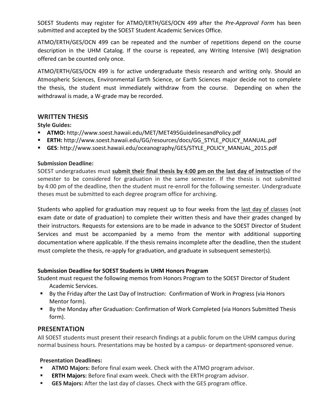SOEST Students may register for ATMO/ERTH/GES/OCN 499 after the *Pre-Approval Form* has been submitted and accepted by the SOEST Student Academic Services Office.

ATMO/ERTH/GES/OCN 499 can be repeated and the number of repetitions depend on the course description in the UHM Catalog. If the course is repeated, any Writing Intensive (WI) designation offered can be counted only once.

ATMO/ERTH/GES/OCN 499 is for active undergraduate thesis research and writing only. Should an Atmospheric Sciences, Environmental Earth Science, or Earth Sciences major decide not to complete the thesis, the student must immediately withdraw from the course. Depending on when the withdrawal is made, a W-grade may be recorded.

#### **WRITTEN THESIS**

**Style Guides:**

- § **ATMO:** http://www.soest.hawaii.edu/MET/MET495GuidelinesandPolicy.pdf
- § **ERTH:** http://www.soest.hawaii.edu/GG/resources/docs/GG\_STYLE\_POLICY\_MANUAL.pdf
- § **GES**: http://www.soest.hawaii.edu/oceanography/GES/STYLE\_POLICY\_MANUAL\_2015.pdf

#### **Submission Deadline:**

SOEST undergraduates must **submit their final thesis by 4:00 pm on the last day of instruction** of the semester to be considered for graduation in the same semester. If the thesis is not submitted by 4:00 pm of the deadline, then the student must re-enroll for the following semester. Undergraduate theses must be submitted to each degree program office for archiving.

Students who applied for graduation may request up to four weeks from the last day of classes (not exam date or date of graduation) to complete their written thesis and have their grades changed by their instructors. Requests for extensions are to be made in advance to the SOEST Director of Student Services and must be accompanied by a memo from the mentor with additional supporting documentation where applicable. If the thesis remains incomplete after the deadline, then the student must complete the thesis, re-apply for graduation, and graduate in subsequent semester(s).

#### **Submission Deadline for SOEST Students in UHM Honors Program**

Student must request the following memos from Honors Program to the SOEST Director of Student Academic Services.

- By the Friday after the Last Day of Instruction: Confirmation of Work in Progress (via Honors Mentor form).
- By the Monday after Graduation: Confirmation of Work Completed (via Honors Submitted Thesis form).

#### **PRESENTATION**

All SOEST students must present their research findings at a public forum on the UHM campus during normal business hours. Presentations may be hosted by a campus- or department-sponsored venue.

#### **Presentation Deadlines:**

- **EXTMO Majors:** Before final exam week. Check with the ATMO program advisor.
- **ERTH Majors:** Before final exam week. Check with the ERTH program advisor.
- § **GES Majors:** After the last day of classes. Check with the GES program office.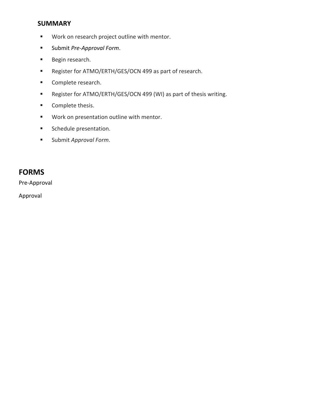## **SUMMARY**

- Work on research project outline with mentor.
- § Submit *Pre-Approval Form*.
- Begin research.
- Register for ATMO/ERTH/GES/OCN 499 as part of research.
- Complete research.
- Register for ATMO/ERTH/GES/OCN 499 (WI) as part of thesis writing.
- Complete thesis.
- Work on presentation outline with mentor.
- **Schedule presentation.**
- Submit *Approval Form*.

## **FORMS**

Pre-Approval

Approval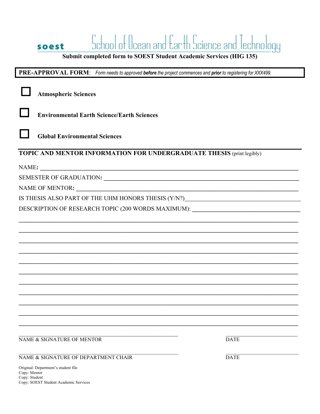|                                                                                                             |                                                                                  | chool of Ucean and Earth Science and Technology |  |
|-------------------------------------------------------------------------------------------------------------|----------------------------------------------------------------------------------|-------------------------------------------------|--|
|                                                                                                             | soest                                                                            |                                                 |  |
| Submit completed form to SOEST Student Academic Services (HIG 135)                                          |                                                                                  |                                                 |  |
| PRE-APPROVAL FORM: Form needs to approved before the project commences and prior to registering for XXX499. |                                                                                  |                                                 |  |
|                                                                                                             | <b>Atmospheric Sciences</b>                                                      |                                                 |  |
|                                                                                                             | <b>Environmental Earth Science/Earth Sciences</b>                                |                                                 |  |
|                                                                                                             | <b>Global Environmental Sciences</b>                                             |                                                 |  |
|                                                                                                             | <b>TOPIC AND MENTOR INFORMATION FOR UNDERGRADUATE THESIS (print legibly)</b>     |                                                 |  |
|                                                                                                             |                                                                                  |                                                 |  |
|                                                                                                             |                                                                                  |                                                 |  |
|                                                                                                             |                                                                                  |                                                 |  |
|                                                                                                             | IS THESIS ALSO PART OF THE UHM HONORS THESIS (Y/N?)_____________________________ |                                                 |  |
| DESCRIPTION OF RESEARCH TOPIC (200 WORDS MAXIMUM): _____________________________                            |                                                                                  |                                                 |  |
|                                                                                                             |                                                                                  |                                                 |  |
|                                                                                                             |                                                                                  |                                                 |  |
|                                                                                                             |                                                                                  |                                                 |  |
|                                                                                                             |                                                                                  |                                                 |  |
|                                                                                                             |                                                                                  |                                                 |  |
|                                                                                                             |                                                                                  |                                                 |  |
|                                                                                                             |                                                                                  |                                                 |  |
|                                                                                                             |                                                                                  |                                                 |  |
|                                                                                                             |                                                                                  |                                                 |  |
|                                                                                                             |                                                                                  |                                                 |  |
|                                                                                                             |                                                                                  |                                                 |  |
|                                                                                                             |                                                                                  |                                                 |  |
|                                                                                                             | NAME & SIGNATURE OF MENTOR                                                       | <b>DATE</b>                                     |  |
|                                                                                                             | NAME & SIGNATURE OF DEPARTMENT CHAIR                                             | <b>DATE</b>                                     |  |
|                                                                                                             |                                                                                  |                                                 |  |

Original: Department's student file<br>
Copy: Mentor<br>
Copy: Student<br>
Copy: SOEST Student Academic Services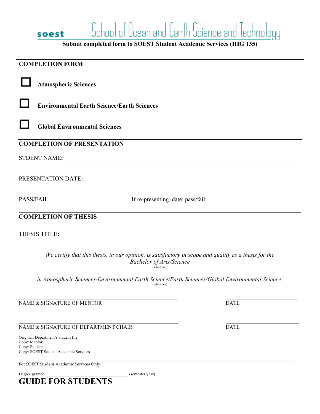**Submit completed form to SOEST Student Academic Services (HIG 135)** 

soest

| <b>COMPLETION FORM</b>                                                                                                                                                                                                         |             |  |  |
|--------------------------------------------------------------------------------------------------------------------------------------------------------------------------------------------------------------------------------|-------------|--|--|
| <b>Atmospheric Sciences</b>                                                                                                                                                                                                    |             |  |  |
| <b>Environmental Earth Science/Earth Sciences</b>                                                                                                                                                                              |             |  |  |
| <b>Global Environmental Sciences</b>                                                                                                                                                                                           |             |  |  |
| <b>COMPLETION OF PRESENTATION</b>                                                                                                                                                                                              |             |  |  |
| STDENT NAME:                                                                                                                                                                                                                   |             |  |  |
|                                                                                                                                                                                                                                |             |  |  |
| PRESENTATION DATE: THE SERVICE OF THE SERVICE OF THE SERVICE OF THE SERVICE OF THE SERVICE OF THE SERVICE OF THE SERVICE OF THE SERVICE OF THE SERVICE OF THE SERVICE OF THE SERVICE OF THE SERVICE OF THE SERVICE OF THE SERV |             |  |  |
|                                                                                                                                                                                                                                |             |  |  |
| PASS/FAIL:                                                                                                                                                                                                                     |             |  |  |
| <b>COMPLETION OF THESIS</b>                                                                                                                                                                                                    |             |  |  |
| THESIS TITLE: University of the state of the state of the state of the state of the state of the state of the state of the state of the state of the state of the state of the state of the state of the state of the state of |             |  |  |
| We certify that this thesis, in our opinion, is satisfactory in scope and quality as a thesis for the<br><b>Bachelor of Arts/Science</b><br>(select one)                                                                       |             |  |  |
| in Atmospheric Sciences/Environmental Earth Science/Earth Sciences/Global Environmental Science.<br>(select one)                                                                                                               |             |  |  |
| NAME & SIGNATURE OF MENTOR                                                                                                                                                                                                     | <b>DATE</b> |  |  |
| NAME & SIGNATURE OF DEPARTMENT CHAIR                                                                                                                                                                                           | <b>DATE</b> |  |  |
| Original: Department's student file<br>Copy: Mentor<br>Copy: Student<br>Copy: SOEST Student Academic Services                                                                                                                  |             |  |  |
|                                                                                                                                                                                                                                |             |  |  |
| For SOEST Student Academic Services Only:<br>Degree granted:<br>(semester/year)                                                                                                                                                |             |  |  |
| <b>GUIDE FOR STUDENTS</b>                                                                                                                                                                                                      |             |  |  |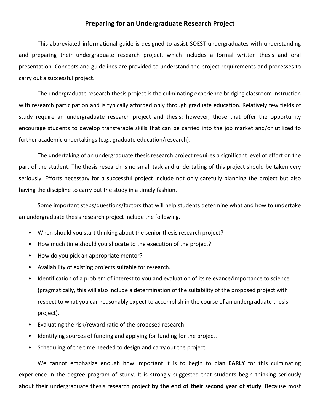#### **Preparing for an Undergraduate Research Project**

This abbreviated informational guide is designed to assist SOEST undergraduates with understanding and preparing their undergraduate research project, which includes a formal written thesis and oral presentation. Concepts and guidelines are provided to understand the project requirements and processes to carry out a successful project.

The undergraduate research thesis project is the culminating experience bridging classroom instruction with research participation and is typically afforded only through graduate education. Relatively few fields of study require an undergraduate research project and thesis; however, those that offer the opportunity encourage students to develop transferable skills that can be carried into the job market and/or utilized to further academic undertakings (e.g., graduate education/research).

The undertaking of an undergraduate thesis research project requires a significant level of effort on the part of the student. The thesis research is no small task and undertaking of this project should be taken very seriously. Efforts necessary for a successful project include not only carefully planning the project but also having the discipline to carry out the study in a timely fashion.

Some important steps/questions/factors that will help students determine what and how to undertake an undergraduate thesis research project include the following.

- When should you start thinking about the senior thesis research project?
- How much time should you allocate to the execution of the project?
- How do you pick an appropriate mentor?
- Availability of existing projects suitable for research.
- Identification of a problem of interest to you and evaluation of its relevance/importance to science (pragmatically, this will also include a determination of the suitability of the proposed project with respect to what you can reasonably expect to accomplish in the course of an undergraduate thesis project).
- Evaluating the risk/reward ratio of the proposed research.
- Identifying sources of funding and applying for funding for the project.
- Scheduling of the time needed to design and carry out the project.

We cannot emphasize enough how important it is to begin to plan **EARLY** for this culminating experience in the degree program of study. It is strongly suggested that students begin thinking seriously about their undergraduate thesis research project **by the end of their second year of study**. Because most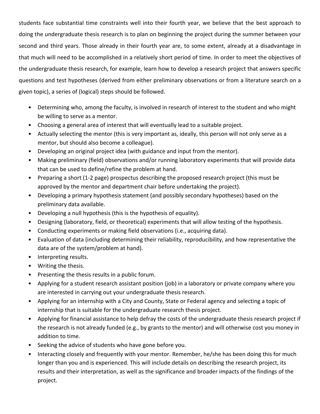students face substantial time constraints well into their fourth year, we believe that the best approach to doing the undergraduate thesis research is to plan on beginning the project during the summer between your second and third years. Those already in their fourth year are, to some extent, already at a disadvantage in that much will need to be accomplished in a relatively short period of time. In order to meet the objectives of the undergraduate thesis research, for example, learn how to develop a research project that answers specific questions and test hypotheses (derived from either preliminary observations or from a literature search on a given topic), a series of (logical) steps should be followed.

- Determining who, among the faculty, is involved in research of interest to the student and who might be willing to serve as a mentor.
- Choosing a general area of interest that will eventually lead to a suitable project.
- Actually selecting the mentor (this is very important as, ideally, this person will not only serve as a mentor, but should also become a colleague).
- Developing an original project idea (with guidance and input from the mentor).
- Making preliminary (field) observations and/or running laboratory experiments that will provide data that can be used to define/refine the problem at hand.
- Preparing a short (1-2 page) prospectus describing the proposed research project (this must be approved by the mentor and department chair before undertaking the project).
- Developing a primary hypothesis statement (and possibly secondary hypotheses) based on the preliminary data available.
- Developing a null hypothesis (this is the hypothesis of equality).
- Designing (laboratory, field, or theoretical) experiments that will allow testing of the hypothesis.
- Conducting experiments or making field observations (i.e., acquiring data).
- Evaluation of data (including determining their reliability, reproducibility, and how representative the data are of the system/problem at hand).
- Interpreting results.
- Writing the thesis.
- Presenting the thesis results in a public forum.
- Applying for a student research assistant position (job) in a laboratory or private company where you are interested in carrying out your undergraduate thesis research.
- Applying for an internship with a City and County, State or Federal agency and selecting a topic of internship that is suitable for the undergraduate research thesis project.
- Applying for financial assistance to help defray the costs of the undergraduate thesis research project if the research is not already funded (e.g., by grants to the mentor) and will otherwise cost you money in addition to time.
- Seeking the advice of students who have gone before you.
- Interacting closely and frequently with your mentor. Remember, he/she has been doing this for much longer than you and is experienced. This will include details on describing the research project, its results and their interpretation, as well as the significance and broader impacts of the findings of the project.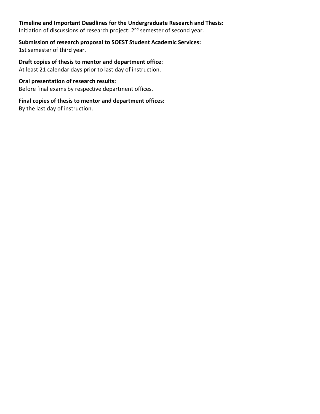### **Timeline and Important Deadlines for the Undergraduate Research and Thesis:**

Initiation of discussions of research project: 2<sup>nd</sup> semester of second year.

# **Submission of research proposal to SOEST Student Academic Services:**

1st semester of third year.

**Draft copies of thesis to mentor and department office**: At least 21 calendar days prior to last day of instruction.

#### **Oral presentation of research results:**

Before final exams by respective department offices.

### **Final copies of thesis to mentor and department offices:**

By the last day of instruction.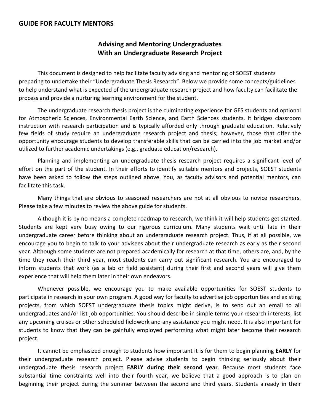### **GUIDE FOR FACULTY MENTORS**

## **Advising and Mentoring Undergraduates With an Undergraduate Research Project**

This document is designed to help facilitate faculty advising and mentoring of SOEST students preparing to undertake their "Undergraduate Thesis Research". Below we provide some concepts/guidelines to help understand what is expected of the undergraduate research project and how faculty can facilitate the process and provide a nurturing learning environment for the student.

The undergraduate research thesis project is the culminating experience for GES students and optional for Atmospheric Sciences, Environmental Earth Science, and Earth Sciences students. It bridges classroom instruction with research participation and is typically afforded only through graduate education. Relatively few fields of study require an undergraduate research project and thesis; however, those that offer the opportunity encourage students to develop transferable skills that can be carried into the job market and/or utilized to further academic undertakings (e.g., graduate education/research).

Planning and implementing an undergraduate thesis research project requires a significant level of effort on the part of the student. In their efforts to identify suitable mentors and projects, SOEST students have been asked to follow the steps outlined above. You, as faculty advisors and potential mentors, can facilitate this task.

Many things that are obvious to seasoned researchers are not at all obvious to novice researchers. Please take a few minutes to review the above guide for students.

Although it is by no means a complete roadmap to research, we think it will help students get started. Students are kept very busy owing to our rigorous curriculum. Many students wait until late in their undergraduate career before thinking about an undergraduate research project. Thus, if at all possible, we encourage you to begin to talk to your advisees about their undergraduate research as early as their second year. Although some students are not prepared academically for research at that time, others are, and, by the time they reach their third year, most students can carry out significant research. You are encouraged to inform students that work (as a lab or field assistant) during their first and second years will give them experience that will help them later in their own endeavors.

Whenever possible, we encourage you to make available opportunities for SOEST students to participate in research in your own program. A good way for faculty to advertise job opportunities and existing projects, from which SOEST undergraduate thesis topics might derive, is to send out an email to all undergraduates and/or list job opportunities. You should describe in simple terms your research interests, list any upcoming cruises or other scheduled fieldwork and any assistance you might need. It is also important for students to know that they can be gainfully employed performing what might later become their research project.

It cannot be emphasized enough to students how important it is for them to begin planning **EARLY** for their undergraduate research project. Please advise students to begin thinking seriously about their undergraduate thesis research project **EARLY during their second year**. Because most students face substantial time constraints well into their fourth year, we believe that a good approach is to plan on beginning their project during the summer between the second and third years. Students already in their